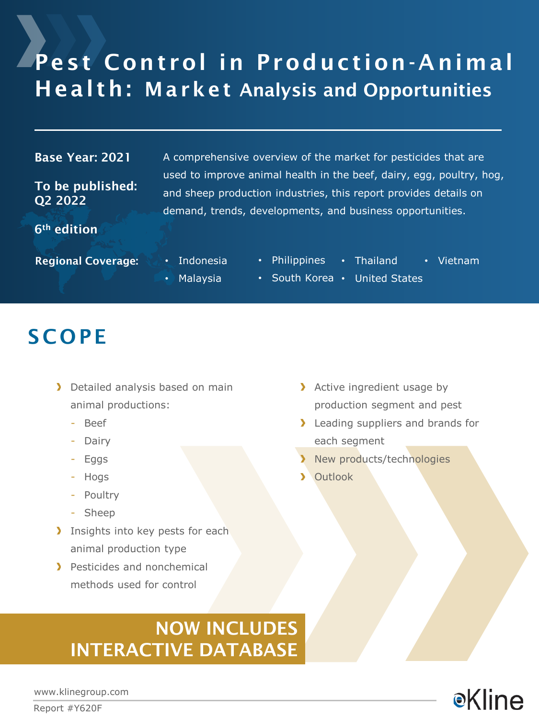# Pest Control in Production-Animal Health: Market Analysis and Opportunities

#### Base Year: 2021

To be published: Q2 2022

6th edition

A comprehensive overview of the market for pesticides that are used to improve animal health in the beef, dairy, egg, poultry, hog, and sheep production industries, this report provides details on demand, trends, developments, and business opportunities.

Regional Coverage: • Indonesia

- Philippines • Thailand • Vietnam
- Malaysia
	- South Korea United States

### **SCOPE**

- > Detailed analysis based on main animal productions:
	- Beef
	- Dairy
	- Eggs
	- Hogs
	- Poultry
	- Sheep
- Insights into key pests for each animal production type
- > Pesticides and nonchemical methods used for control
- > Active ingredient usage by production segment and pest
- **I** Leading suppliers and brands for each segment
- New products/technologies
- > Outlook

### NOW INCLUDES INTERACTIVE DATABASE

**e**Kline

www.klinegroup.com

Report #Y620F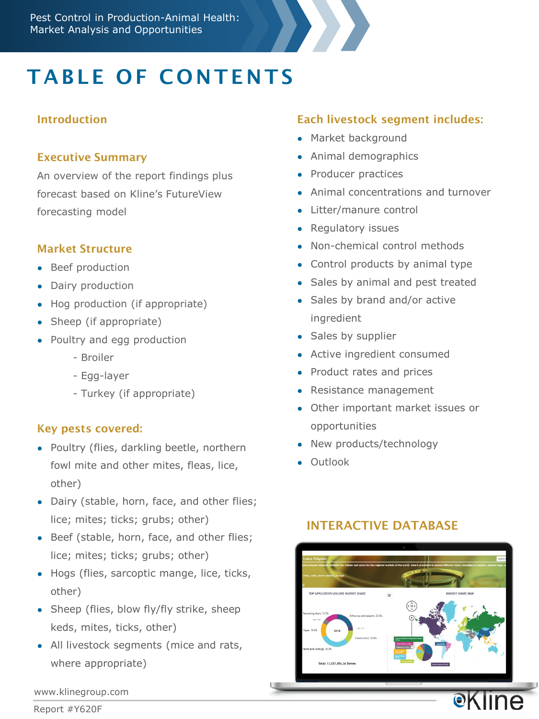

# TABLE OF CONTENTS

#### Introduction

#### Executive Summary

An overview of the report findings plus forecast based on Kline's FutureView forecasting model

#### Market Structure

- Beef production
- Dairy production
- Hog production (if appropriate)
- Sheep (if appropriate)
- Poultry and egg production
	- Broiler
	- Egg-layer
	- Turkey (if appropriate)

#### Key pests covered:

- Poultry (flies, darkling beetle, northern fowl mite and other mites, fleas, lice, other)
- Dairy (stable, horn, face, and other flies; lice; mites; ticks; grubs; other)
- Beef (stable, horn, face, and other flies; lice; mites; ticks; grubs; other)
- Hogs (flies, sarcoptic mange, lice, ticks, other)
- Sheep (flies, blow fly/fly strike, sheep keds, mites, ticks, other)
- All livestock segments (mice and rats, where appropriate)

### Each livestock segment includes:

- Market background
- Animal demographics
- Producer practices
- Animal concentrations and turnover
- Litter/manure control
- Regulatory issues
- Non-chemical control methods
- Control products by animal type
- Sales by animal and pest treated
- Sales by brand and/or active ingredient
- Sales by supplier
- Active ingredient consumed
- Product rates and prices
- Resistance management
- Other important market issues or opportunities
- New products/technology
- Outlook

### INTERACTIVE DATABASE



www.klinegroup.com